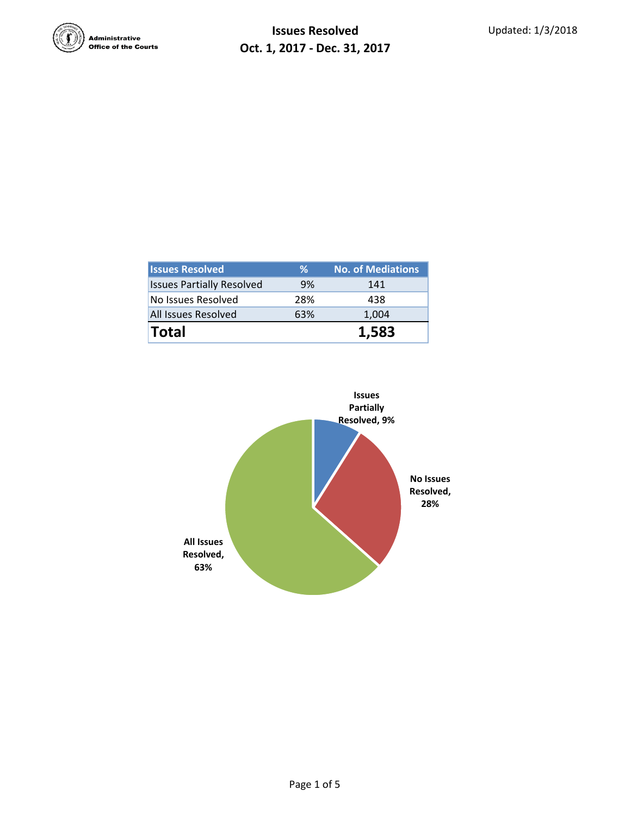

| <b>Issues Resolved</b>           | ℅   | <b>No. of Mediations</b> |  |  |
|----------------------------------|-----|--------------------------|--|--|
| <b>Issues Partially Resolved</b> | 9%  | 141                      |  |  |
| No Issues Resolved               | 28% | 438                      |  |  |
| All Issues Resolved              | 63% | 1,004                    |  |  |
| <b>Total</b>                     |     | 1.583                    |  |  |

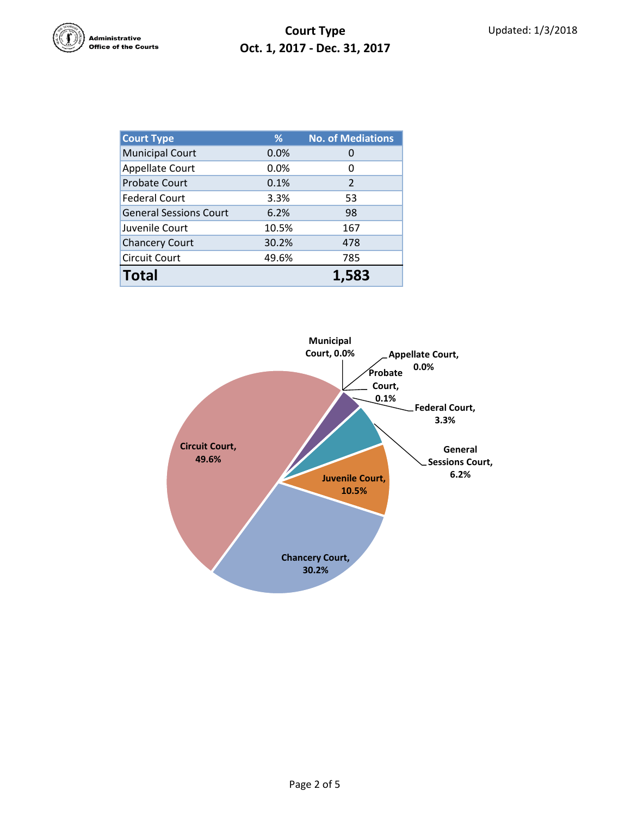

## **Court Type Oct. 1, 2017 - Dec. 31, 2017**

| <b>Court Type</b>             | %     | <b>No. of Mediations</b> |  |  |
|-------------------------------|-------|--------------------------|--|--|
| <b>Municipal Court</b>        | 0.0%  |                          |  |  |
| <b>Appellate Court</b>        | 0.0%  | 0                        |  |  |
| <b>Probate Court</b>          | 0.1%  | 2                        |  |  |
| <b>Federal Court</b>          | 3.3%  | 53                       |  |  |
| <b>General Sessions Court</b> | 6.2%  | 98                       |  |  |
| Juvenile Court                | 10.5% | 167                      |  |  |
| <b>Chancery Court</b>         | 30.2% | 478                      |  |  |
| Circuit Court                 | 49.6% | 785                      |  |  |
| <b>Total</b>                  |       | 1.583                    |  |  |

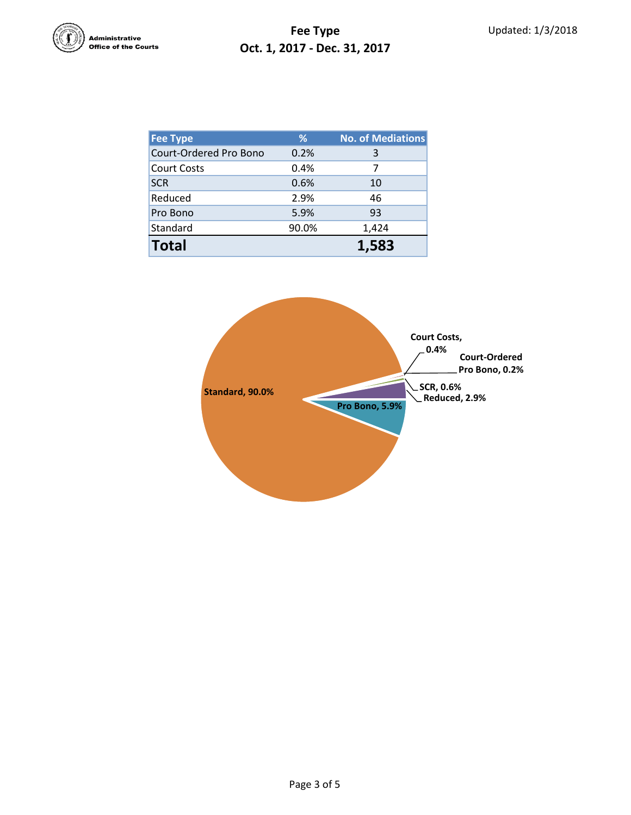

## **Fee Type Oct. 1, 2017 - Dec. 31, 2017**

| Fee Type               | %     | <b>No. of Mediations</b> |
|------------------------|-------|--------------------------|
| Court-Ordered Pro Bono | 0.2%  | 3                        |
| <b>Court Costs</b>     | 0.4%  | 7                        |
| <b>SCR</b>             | 0.6%  | 10                       |
| Reduced                | 2.9%  | 46                       |
| Pro Bono               | 5.9%  | 93                       |
| Standard               | 90.0% | 1,424                    |
| <b>Total</b>           |       | 1.583                    |

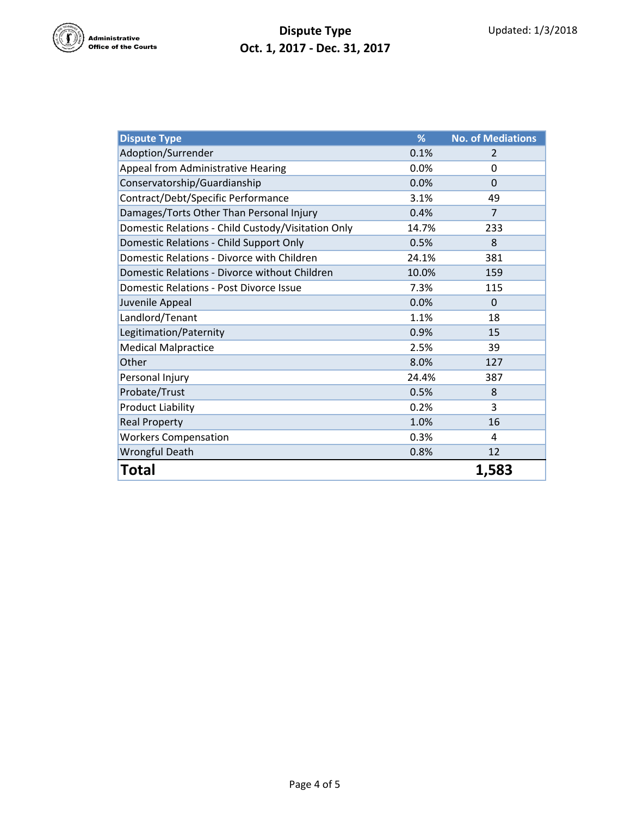

## **Dispute Type Oct. 1, 2017 - Dec. 31, 2017**

| <b>Dispute Type</b>                                | %     | <b>No. of Mediations</b> |
|----------------------------------------------------|-------|--------------------------|
| Adoption/Surrender                                 | 0.1%  | 2                        |
| Appeal from Administrative Hearing                 | 0.0%  | 0                        |
| Conservatorship/Guardianship                       | 0.0%  | $\Omega$                 |
| Contract/Debt/Specific Performance                 | 3.1%  | 49                       |
| Damages/Torts Other Than Personal Injury           | 0.4%  | $\overline{7}$           |
| Domestic Relations - Child Custody/Visitation Only | 14.7% | 233                      |
| Domestic Relations - Child Support Only            | 0.5%  | 8                        |
| Domestic Relations - Divorce with Children         | 24.1% | 381                      |
| Domestic Relations - Divorce without Children      | 10.0% | 159                      |
| Domestic Relations - Post Divorce Issue            | 7.3%  | 115                      |
| Juvenile Appeal                                    | 0.0%  | $\Omega$                 |
| Landlord/Tenant                                    | 1.1%  | 18                       |
| Legitimation/Paternity                             | 0.9%  | 15                       |
| <b>Medical Malpractice</b>                         | 2.5%  | 39                       |
| Other                                              | 8.0%  | 127                      |
| Personal Injury                                    | 24.4% | 387                      |
| Probate/Trust                                      | 0.5%  | 8                        |
| <b>Product Liability</b>                           | 0.2%  | 3                        |
| <b>Real Property</b>                               | 1.0%  | 16                       |
| <b>Workers Compensation</b>                        | 0.3%  | 4                        |
| <b>Wrongful Death</b>                              | 0.8%  | 12                       |
| <b>Total</b>                                       |       | 1,583                    |